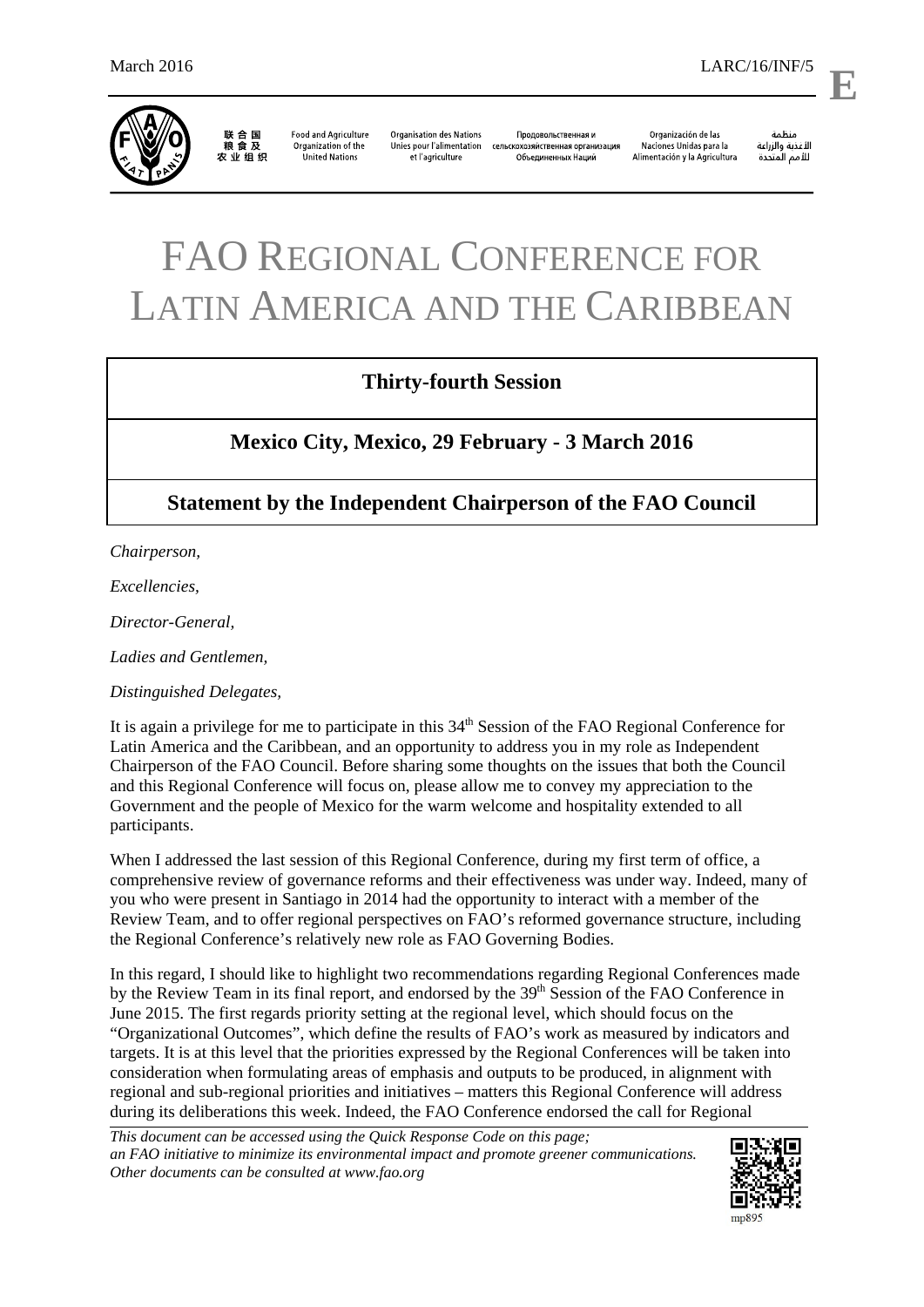

联合国<br>粮食及 农业组织

**Food and Agriculture Organisation des Nations** Organization of the United Nations et l'agriculture

Продовольственная и Unies pour l'alimentation сельскохозяйственная организация .<br>Объединенных Наций

Organización de las Naciones Unidas para la Alimentación y la Agricultura

منظمة مسمه<br>الأغذية والزراعة<br>للأمم المتحدة **E**

## FAO REGIONAL CONFERENCE FOR LATIN AMERICA AND THE CARIBBEAN

## **Thirty-fourth Session**

## **Mexico City, Mexico, 29 February - 3 March 2016**

## **Statement by the Independent Chairperson of the FAO Council**

*Chairperson,* 

*Excellencies,* 

*Director-General,* 

*Ladies and Gentlemen,* 

*Distinguished Delegates,* 

It is again a privilege for me to participate in this 34<sup>th</sup> Session of the FAO Regional Conference for Latin America and the Caribbean, and an opportunity to address you in my role as Independent Chairperson of the FAO Council. Before sharing some thoughts on the issues that both the Council and this Regional Conference will focus on, please allow me to convey my appreciation to the Government and the people of Mexico for the warm welcome and hospitality extended to all participants.

When I addressed the last session of this Regional Conference, during my first term of office, a comprehensive review of governance reforms and their effectiveness was under way. Indeed, many of you who were present in Santiago in 2014 had the opportunity to interact with a member of the Review Team, and to offer regional perspectives on FAO's reformed governance structure, including the Regional Conference's relatively new role as FAO Governing Bodies.

In this regard, I should like to highlight two recommendations regarding Regional Conferences made by the Review Team in its final report, and endorsed by the 39<sup>th</sup> Session of the FAO Conference in June 2015. The first regards priority setting at the regional level, which should focus on the "Organizational Outcomes", which define the results of FAO's work as measured by indicators and targets. It is at this level that the priorities expressed by the Regional Conferences will be taken into consideration when formulating areas of emphasis and outputs to be produced, in alignment with regional and sub-regional priorities and initiatives – matters this Regional Conference will address during its deliberations this week. Indeed, the FAO Conference endorsed the call for Regional

*This document can be accessed using the Quick Response Code on this page; an FAO initiative to minimize its environmental impact and promote greener communications. Other documents can be consulted at www.fao.org* 

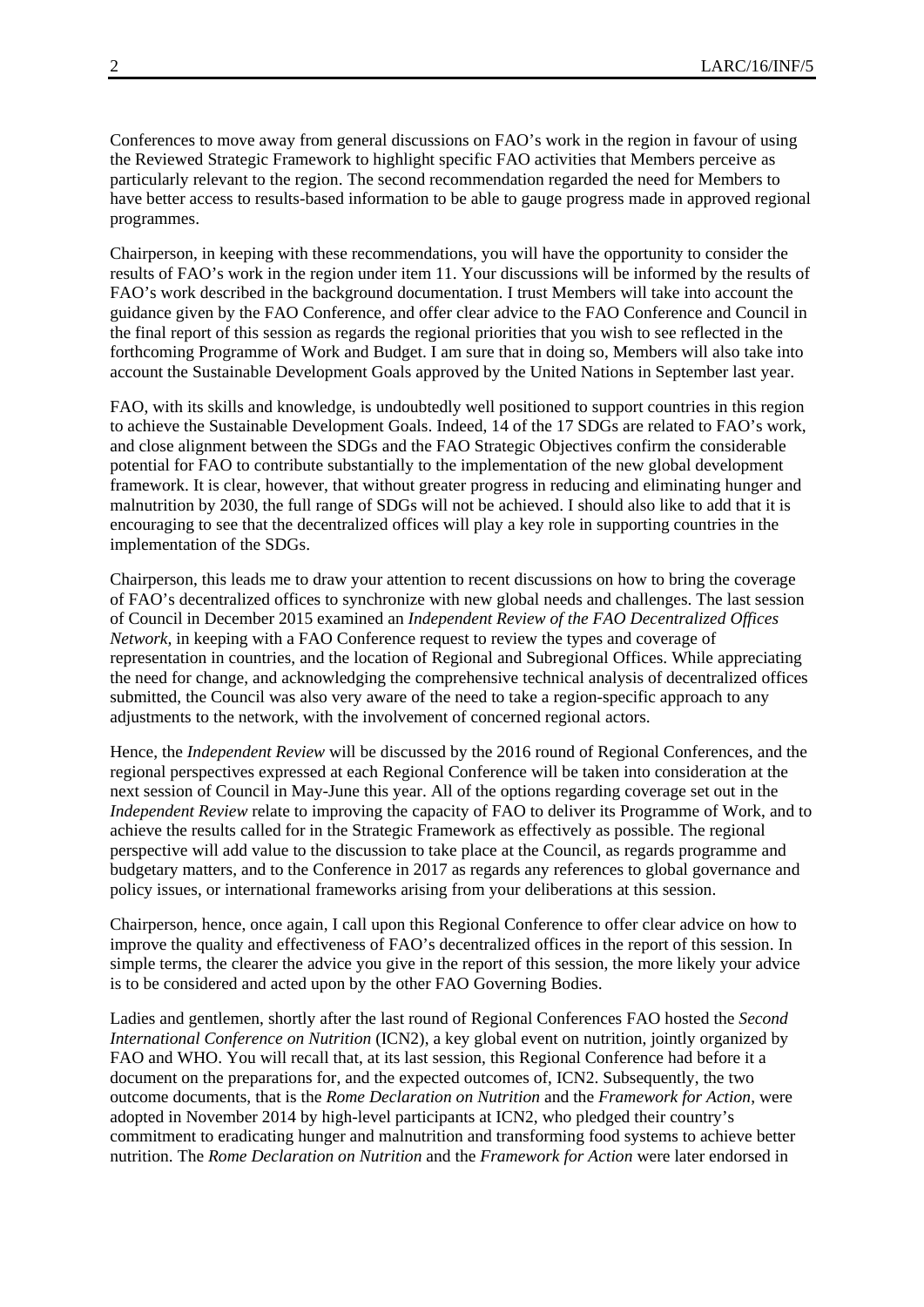Conferences to move away from general discussions on FAO's work in the region in favour of using the Reviewed Strategic Framework to highlight specific FAO activities that Members perceive as particularly relevant to the region. The second recommendation regarded the need for Members to have better access to results-based information to be able to gauge progress made in approved regional programmes.

Chairperson, in keeping with these recommendations, you will have the opportunity to consider the results of FAO's work in the region under item 11. Your discussions will be informed by the results of FAO's work described in the background documentation. I trust Members will take into account the guidance given by the FAO Conference, and offer clear advice to the FAO Conference and Council in the final report of this session as regards the regional priorities that you wish to see reflected in the forthcoming Programme of Work and Budget. I am sure that in doing so, Members will also take into account the Sustainable Development Goals approved by the United Nations in September last year.

FAO, with its skills and knowledge, is undoubtedly well positioned to support countries in this region to achieve the Sustainable Development Goals. Indeed, 14 of the 17 SDGs are related to FAO's work, and close alignment between the SDGs and the FAO Strategic Objectives confirm the considerable potential for FAO to contribute substantially to the implementation of the new global development framework. It is clear, however, that without greater progress in reducing and eliminating hunger and malnutrition by 2030, the full range of SDGs will not be achieved. I should also like to add that it is encouraging to see that the decentralized offices will play a key role in supporting countries in the implementation of the SDGs.

Chairperson, this leads me to draw your attention to recent discussions on how to bring the coverage of FAO's decentralized offices to synchronize with new global needs and challenges. The last session of Council in December 2015 examined an *Independent Review of the FAO Decentralized Offices Network,* in keeping with a FAO Conference request to review the types and coverage of representation in countries, and the location of Regional and Subregional Offices. While appreciating the need for change, and acknowledging the comprehensive technical analysis of decentralized offices submitted, the Council was also very aware of the need to take a region-specific approach to any adjustments to the network, with the involvement of concerned regional actors.

Hence, the *Independent Review* will be discussed by the 2016 round of Regional Conferences, and the regional perspectives expressed at each Regional Conference will be taken into consideration at the next session of Council in May-June this year. All of the options regarding coverage set out in the *Independent Review* relate to improving the capacity of FAO to deliver its Programme of Work, and to achieve the results called for in the Strategic Framework as effectively as possible. The regional perspective will add value to the discussion to take place at the Council, as regards programme and budgetary matters, and to the Conference in 2017 as regards any references to global governance and policy issues, or international frameworks arising from your deliberations at this session.

Chairperson, hence, once again, I call upon this Regional Conference to offer clear advice on how to improve the quality and effectiveness of FAO's decentralized offices in the report of this session. In simple terms, the clearer the advice you give in the report of this session, the more likely your advice is to be considered and acted upon by the other FAO Governing Bodies.

Ladies and gentlemen, shortly after the last round of Regional Conferences FAO hosted the *Second International Conference on Nutrition* (ICN2), a key global event on nutrition, jointly organized by FAO and WHO. You will recall that, at its last session, this Regional Conference had before it a document on the preparations for, and the expected outcomes of, ICN2. Subsequently, the two outcome documents, that is the *Rome Declaration on Nutrition* and the *Framework for Action*, were adopted in November 2014 by high-level participants at ICN2, who pledged their country's commitment to eradicating hunger and malnutrition and transforming food systems to achieve better nutrition. The *Rome Declaration on Nutrition* and the *Framework for Action* were later endorsed in